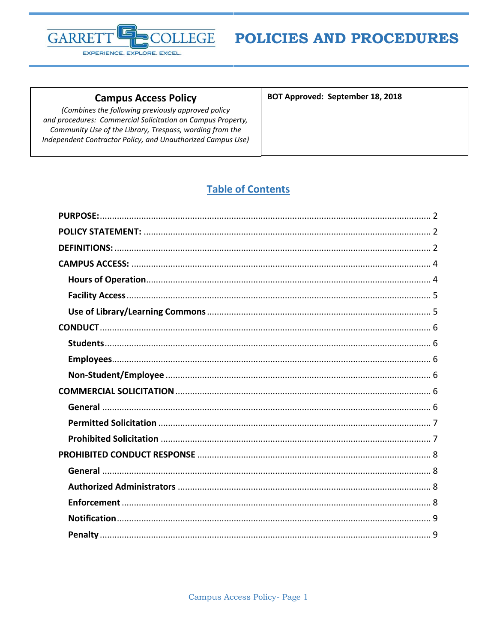

#### **Campus Access Policy**

(Combines the following previously approved policy and procedures: Commercial Solicitation on Campus Property, Community Use of the Library, Trespass, wording from the Independent Contractor Policy, and Unauthorized Campus Use) BOT Approved: September 18, 2018

## **Table of Contents**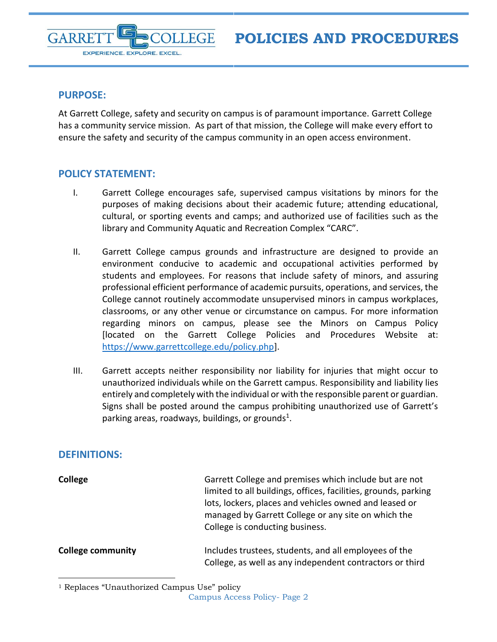#### <span id="page-1-0"></span>**PURPOSE:**

**GARRE** 

At Garrett College, safety and security on campus is of paramount importance. Garrett College has a community service mission. As part of that mission, the College will make every effort to ensure the safety and security of the campus community in an open access environment.

**FGE** 

#### <span id="page-1-1"></span>**POLICY STATEMENT:**

EXPERIENCE. EXPLORE. EXCEL.

- I. Garrett College encourages safe, supervised campus visitations by minors for the purposes of making decisions about their academic future; attending educational, cultural, or sporting events and camps; and authorized use of facilities such as the library and Community Aquatic and Recreation Complex "CARC".
- II. Garrett College campus grounds and infrastructure are designed to provide an environment conducive to academic and occupational activities performed by students and employees. For reasons that include safety of minors, and assuring professional efficient performance of academic pursuits, operations, and services, the College cannot routinely accommodate unsupervised minors in campus workplaces, classrooms, or any other venue or circumstance on campus. For more information regarding minors on campus, please see the Minors on Campus Policy [located on the Garrett College Policies and Procedures Website at: [https://www.garrettcollege.edu/policy.php\]](https://www.garrettcollege.edu/policy.php).
- III. Garrett accepts neither responsibility nor liability for injuries that might occur to unauthorized individuals while on the Garrett campus. Responsibility and liability lies entirely and completely with the individual or with the responsible parent or guardian. Signs shall be posted around the campus prohibiting unauthorized use of Garrett's parking areas, roadways, buildings, or grounds<sup>1</sup>.

#### <span id="page-1-2"></span>**DEFINITIONS:**

 $\overline{a}$ 

| <b>College</b>           | Garrett College and premises which include but are not<br>limited to all buildings, offices, facilities, grounds, parking<br>lots, lockers, places and vehicles owned and leased or<br>managed by Garrett College or any site on which the<br>College is conducting business. |
|--------------------------|-------------------------------------------------------------------------------------------------------------------------------------------------------------------------------------------------------------------------------------------------------------------------------|
| <b>College community</b> | Includes trustees, students, and all employees of the                                                                                                                                                                                                                         |

College, as well as any independent contractors or third

<sup>&</sup>lt;sup>1</sup> Replaces "Unauthorized Campus Use" policy

Campus Access Policy- Page 2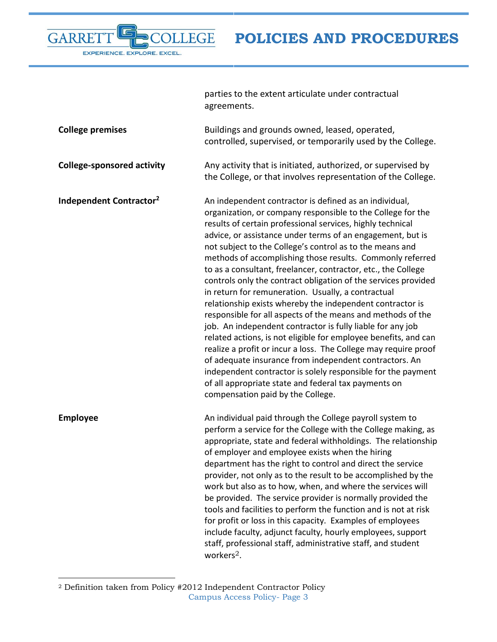<span id="page-2-0"></span>

|                                     | parties to the extent articulate under contractual<br>agreements.                                                                                                                                                                                                                                                                                                                                                                                                                                                                                                                                                                                                                                                                                                                                                                                                                                                                                                                                                                                                                                                          |
|-------------------------------------|----------------------------------------------------------------------------------------------------------------------------------------------------------------------------------------------------------------------------------------------------------------------------------------------------------------------------------------------------------------------------------------------------------------------------------------------------------------------------------------------------------------------------------------------------------------------------------------------------------------------------------------------------------------------------------------------------------------------------------------------------------------------------------------------------------------------------------------------------------------------------------------------------------------------------------------------------------------------------------------------------------------------------------------------------------------------------------------------------------------------------|
| <b>College premises</b>             | Buildings and grounds owned, leased, operated,<br>controlled, supervised, or temporarily used by the College.                                                                                                                                                                                                                                                                                                                                                                                                                                                                                                                                                                                                                                                                                                                                                                                                                                                                                                                                                                                                              |
| <b>College-sponsored activity</b>   | Any activity that is initiated, authorized, or supervised by<br>the College, or that involves representation of the College.                                                                                                                                                                                                                                                                                                                                                                                                                                                                                                                                                                                                                                                                                                                                                                                                                                                                                                                                                                                               |
| Independent Contractor <sup>2</sup> | An independent contractor is defined as an individual,<br>organization, or company responsible to the College for the<br>results of certain professional services, highly technical<br>advice, or assistance under terms of an engagement, but is<br>not subject to the College's control as to the means and<br>methods of accomplishing those results. Commonly referred<br>to as a consultant, freelancer, contractor, etc., the College<br>controls only the contract obligation of the services provided<br>in return for remuneration. Usually, a contractual<br>relationship exists whereby the independent contractor is<br>responsible for all aspects of the means and methods of the<br>job. An independent contractor is fully liable for any job<br>related actions, is not eligible for employee benefits, and can<br>realize a profit or incur a loss. The College may require proof<br>of adequate insurance from independent contractors. An<br>independent contractor is solely responsible for the payment<br>of all appropriate state and federal tax payments on<br>compensation paid by the College. |
| <b>Employee</b>                     | An individual paid through the College payroll system to<br>perform a service for the College with the College making, as<br>appropriate, state and federal withholdings. The relationship<br>of employer and employee exists when the hiring<br>department has the right to control and direct the service<br>provider, not only as to the result to be accomplished by the<br>work but also as to how, when, and where the services will<br>be provided. The service provider is normally provided the<br>tools and facilities to perform the function and is not at risk<br>for profit or loss in this capacity. Examples of employees<br>include faculty, adjunct faculty, hourly employees, support<br>staff, professional staff, administrative staff, and student<br>workers $2$ .                                                                                                                                                                                                                                                                                                                                  |

 $\overline{a}$ 

r

EXPERIENCE. EXPLORE. EXCEL.

LEGE

**GARRE** 

Campus Access Policy- Page 3  $^{\rm 2}$  Definition taken from Policy #2012 Independent Contractor Policy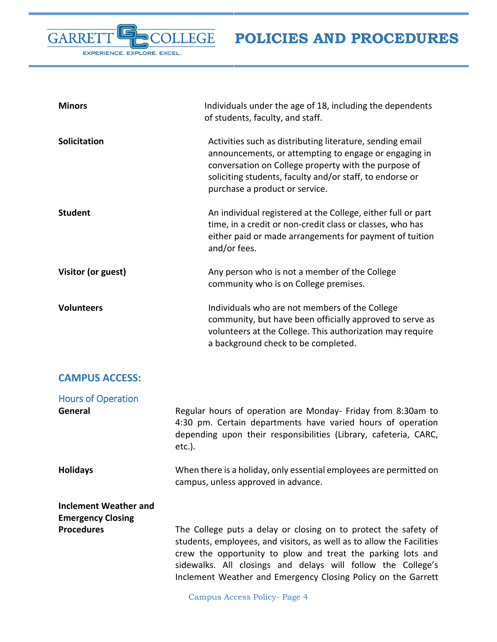| <b>Minors</b>       | Individuals under the age of 18, including the dependents<br>of students, faculty, and staff.                                                                                                                                                                            |
|---------------------|--------------------------------------------------------------------------------------------------------------------------------------------------------------------------------------------------------------------------------------------------------------------------|
| <b>Solicitation</b> | Activities such as distributing literature, sending email<br>announcements, or attempting to engage or engaging in<br>conversation on College property with the purpose of<br>soliciting students, faculty and/or staff, to endorse or<br>purchase a product or service. |
| <b>Student</b>      | An individual registered at the College, either full or part<br>time, in a credit or non-credit class or classes, who has<br>either paid or made arrangements for payment of tuition<br>and/or fees.                                                                     |
| Visitor (or guest)  | Any person who is not a member of the College<br>community who is on College premises.                                                                                                                                                                                   |
| <b>Volunteers</b>   | Individuals who are not members of the College<br>community, but have been officially approved to serve as<br>volunteers at the College. This authorization may require<br>a background check to be completed.                                                           |

## <span id="page-3-0"></span>**CAMPUS ACCESS:**

E

EXPERIENCE. EXPLORE. EXCEL.

OLLEGE

GARRET

<span id="page-3-1"></span>

| <b>Hours of Operation</b>                         |                                                                                                                                                                                                                                                                                                                                          |
|---------------------------------------------------|------------------------------------------------------------------------------------------------------------------------------------------------------------------------------------------------------------------------------------------------------------------------------------------------------------------------------------------|
| General                                           | Regular hours of operation are Monday- Friday from 8:30am to<br>4:30 pm. Certain departments have varied hours of operation<br>depending upon their responsibilities (Library, cafeteria, CARC,<br>$etc.$ ).                                                                                                                             |
| <b>Holidays</b>                                   | When there is a holiday, only essential employees are permitted on<br>campus, unless approved in advance.                                                                                                                                                                                                                                |
| Inclement Weather and<br><b>Emergency Closing</b> |                                                                                                                                                                                                                                                                                                                                          |
| <b>Procedures</b>                                 | The College puts a delay or closing on to protect the safety of<br>students, employees, and visitors, as well as to allow the Facilities<br>crew the opportunity to plow and treat the parking lots and<br>sidewalks. All closings and delays will follow the College's<br>Inclement Weather and Emergency Closing Policy on the Garrett |

Campus Access Policy- Page 4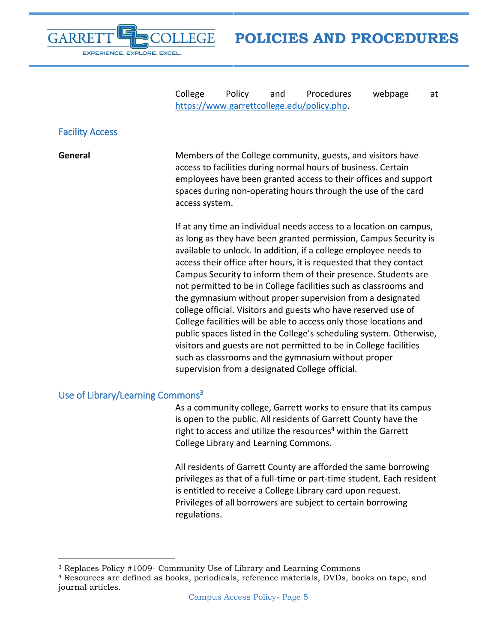**GARRE** EXPERIENCE. EXPLORE. EXCEL.

**POLICIES AND PROCEDURES**

College Policy and Procedures webpage at [https://www.garrettcollege.edu/policy.php.](https://www.garrettcollege.edu/policy.php)

#### <span id="page-4-0"></span>Facility Access

 $\overline{a}$ 

**General** Members of the College community, guests, and visitors have access to facilities during normal hours of business. Certain employees have been granted access to their offices and support spaces during non-operating hours through the use of the card access system.

> If at any time an individual needs access to a location on campus, as long as they have been granted permission, Campus Security is available to unlock. In addition, if a college employee needs to access their office after hours, it is requested that they contact Campus Security to inform them of their presence. Students are not permitted to be in College facilities such as classrooms and the gymnasium without proper supervision from a designated college official. Visitors and guests who have reserved use of College facilities will be able to access only those locations and public spaces listed in the College's scheduling system. Otherwise, visitors and guests are not permitted to be in College facilities such as classrooms and the gymnasium without proper supervision from a designated College official.

### <span id="page-4-1"></span>Use of Library/Learning Commons<sup>3</sup>

As a community college, Garrett works to ensure that its campus is open to the public. All residents of Garrett County have the right to access and utilize the resources<sup>4</sup> within the Garrett College Library and Learning Commons.

All residents of Garrett County are afforded the same borrowing privileges as that of a full-time or part-time student. Each resident is entitled to receive a College Library card upon request. Privileges of all borrowers are subject to certain borrowing regulations.

<sup>3</sup> Replaces Policy #1009- Community Use of Library and Learning Commons

<sup>4</sup> Resources are defined as books, periodicals, reference materials, DVDs, books on tape, and journal articles.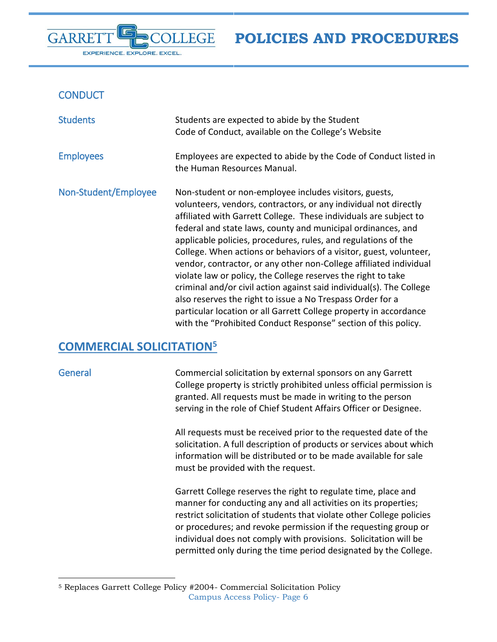### <span id="page-5-0"></span>**CONDUCT**

EXPERIENCE. EXPLORE. EXCEL.

**GARRE** 

<span id="page-5-3"></span><span id="page-5-2"></span><span id="page-5-1"></span>

| <b>Students</b>      | Students are expected to abide by the Student<br>Code of Conduct, available on the College's Website                                                                                                                                                                                                                                                                                                                                                                                                                                                                                                                                                                                                                                                                                                                        |
|----------------------|-----------------------------------------------------------------------------------------------------------------------------------------------------------------------------------------------------------------------------------------------------------------------------------------------------------------------------------------------------------------------------------------------------------------------------------------------------------------------------------------------------------------------------------------------------------------------------------------------------------------------------------------------------------------------------------------------------------------------------------------------------------------------------------------------------------------------------|
| <b>Employees</b>     | Employees are expected to abide by the Code of Conduct listed in<br>the Human Resources Manual.                                                                                                                                                                                                                                                                                                                                                                                                                                                                                                                                                                                                                                                                                                                             |
| Non-Student/Employee | Non-student or non-employee includes visitors, guests,<br>volunteers, vendors, contractors, or any individual not directly<br>affiliated with Garrett College. These individuals are subject to<br>federal and state laws, county and municipal ordinances, and<br>applicable policies, procedures, rules, and regulations of the<br>College. When actions or behaviors of a visitor, guest, volunteer,<br>vendor, contractor, or any other non-College affiliated individual<br>violate law or policy, the College reserves the right to take<br>criminal and/or civil action against said individual(s). The College<br>also reserves the right to issue a No Trespass Order for a<br>particular location or all Garrett College property in accordance<br>with the "Prohibited Conduct Response" section of this policy. |

**EGE** 

## <span id="page-5-4"></span>**COMMERCIAL SOLICITATION<sup>5</sup>**

 $\overline{a}$ 

<span id="page-5-5"></span>General Commercial solicitation by external sponsors on any Garrett College property is strictly prohibited unless official permission is granted. All requests must be made in writing to the person serving in the role of Chief Student Affairs Officer or Designee.

> All requests must be received prior to the requested date of the solicitation. A full description of products or services about which information will be distributed or to be made available for sale must be provided with the request.

> Garrett College reserves the right to regulate time, place and manner for conducting any and all activities on its properties; restrict solicitation of students that violate other College policies or procedures; and revoke permission if the requesting group or individual does not comply with provisions. Solicitation will be permitted only during the time period designated by the College.

Campus Access Policy- Page 6 <sup>5</sup> Replaces Garrett College Policy #2004- Commercial Solicitation Policy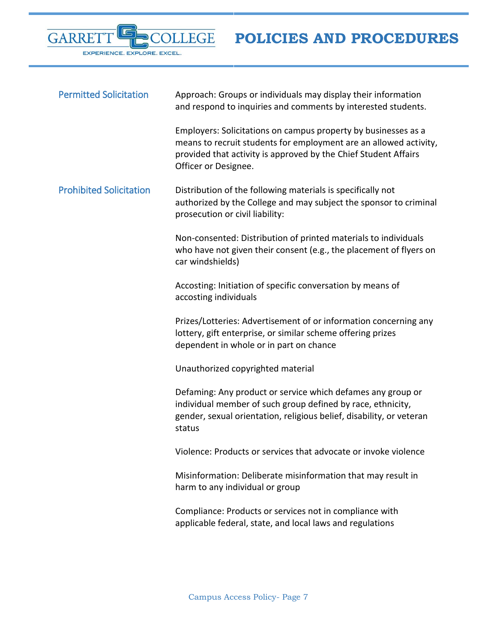E GARRET OLLEGE EXPERIENCE. EXPLORE. EXCEL.

**POLICIES AND PROCEDURES**

<span id="page-6-1"></span><span id="page-6-0"></span>

| <b>Permitted Solicitation</b>  | Approach: Groups or individuals may display their information<br>and respond to inquiries and comments by interested students.                                                                                                 |
|--------------------------------|--------------------------------------------------------------------------------------------------------------------------------------------------------------------------------------------------------------------------------|
|                                | Employers: Solicitations on campus property by businesses as a<br>means to recruit students for employment are an allowed activity,<br>provided that activity is approved by the Chief Student Affairs<br>Officer or Designee. |
| <b>Prohibited Solicitation</b> | Distribution of the following materials is specifically not<br>authorized by the College and may subject the sponsor to criminal<br>prosecution or civil liability:                                                            |
|                                | Non-consented: Distribution of printed materials to individuals<br>who have not given their consent (e.g., the placement of flyers on<br>car windshields)                                                                      |
|                                | Accosting: Initiation of specific conversation by means of<br>accosting individuals                                                                                                                                            |
|                                | Prizes/Lotteries: Advertisement of or information concerning any<br>lottery, gift enterprise, or similar scheme offering prizes<br>dependent in whole or in part on chance                                                     |
|                                | Unauthorized copyrighted material                                                                                                                                                                                              |
|                                | Defaming: Any product or service which defames any group or<br>individual member of such group defined by race, ethnicity,<br>gender, sexual orientation, religious belief, disability, or veteran<br>status                   |
|                                | Violence: Products or services that advocate or invoke violence                                                                                                                                                                |
|                                | Misinformation: Deliberate misinformation that may result in<br>harm to any individual or group                                                                                                                                |
|                                | Compliance: Products or services not in compliance with<br>applicable federal, state, and local laws and regulations                                                                                                           |
|                                |                                                                                                                                                                                                                                |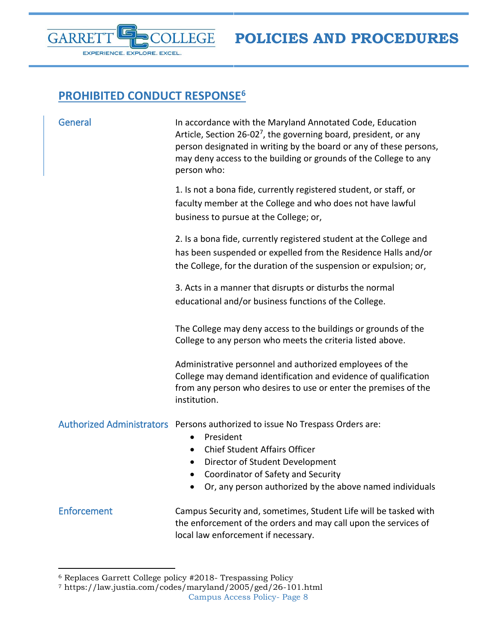

# <span id="page-7-0"></span>**PROHIBITED CONDUCT RESPONSE<sup>6</sup>**

<span id="page-7-1"></span>

| General     | In accordance with the Maryland Annotated Code, Education<br>Article, Section 26-02 <sup>7</sup> , the governing board, president, or any<br>person designated in writing by the board or any of these persons,<br>may deny access to the building or grounds of the College to any<br>person who: |
|-------------|----------------------------------------------------------------------------------------------------------------------------------------------------------------------------------------------------------------------------------------------------------------------------------------------------|
|             | 1. Is not a bona fide, currently registered student, or staff, or<br>faculty member at the College and who does not have lawful<br>business to pursue at the College; or,                                                                                                                          |
|             | 2. Is a bona fide, currently registered student at the College and<br>has been suspended or expelled from the Residence Halls and/or<br>the College, for the duration of the suspension or expulsion; or,                                                                                          |
|             | 3. Acts in a manner that disrupts or disturbs the normal<br>educational and/or business functions of the College.                                                                                                                                                                                  |
|             | The College may deny access to the buildings or grounds of the<br>College to any person who meets the criteria listed above.                                                                                                                                                                       |
|             | Administrative personnel and authorized employees of the<br>College may demand identification and evidence of qualification<br>from any person who desires to use or enter the premises of the<br>institution.                                                                                     |
|             | Authorized Administrators Persons authorized to issue No Trespass Orders are:<br>President<br>$\bullet$<br><b>Chief Student Affairs Officer</b><br>Director of Student Development<br>$\bullet$<br>Coordinator of Safety and Security<br>Or, any person authorized by the above named individuals  |
| Enforcement | Campus Security and, sometimes, Student Life will be tasked with<br>the enforcement of the orders and may call upon the services of<br>local law enforcement if necessary.                                                                                                                         |

<span id="page-7-3"></span><span id="page-7-2"></span> $\overline{a}$ 

<sup>6</sup> Replaces Garrett College policy #2018- Trespassing Policy

Campus Access Policy- Page 8 <sup>7</sup> https://law.justia.com/codes/maryland/2005/ged/26-101.html